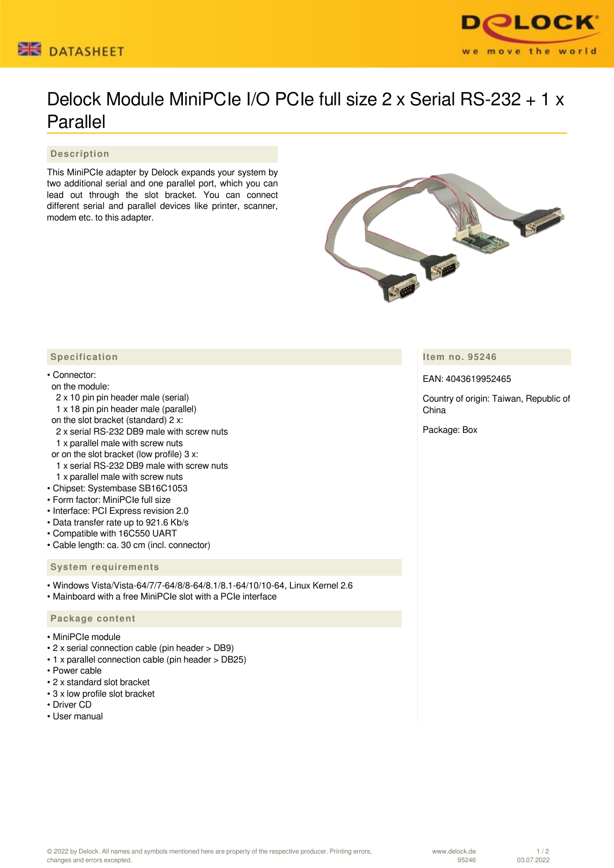



# Delock Module MiniPCIe I/O PCIe full size 2 x Serial RS-232 + 1 x Parallel

 **Description**

This MiniPCIe adapter by Delock expands your system by two additional serial and one parallel port, which you can lead out through the slot bracket. You can connect different serial and parallel devices like printer, scanner, modem etc. to this adapter.



**Item no. 95246**

EAN: 4043619952465

Country of origin: Taiwan, Republic of China

Package: Box

### **Specification**

#### • Connector:

#### on the module:

- 2 x 10 pin pin header male (serial)
- 1 x 18 pin pin header male (parallel)
- on the slot bracket (standard) 2 x:
- 2 x serial RS-232 DB9 male with screw nuts
- 1 x parallel male with screw nuts
- or on the slot bracket (low profile) 3 x:
- 1 x serial RS-232 DB9 male with screw nuts
- 1 x parallel male with screw nuts
- Chipset: Systembase SB16C1053
- Form factor: MiniPCIe full size
- Interface: PCI Express revision 2.0
- Data transfer rate up to 921.6 Kb/s
- Compatible with 16C550 UART • Cable length: ca. 30 cm (incl. connector)
- **System requirements**
- Windows Vista/Vista-64/7/7-64/8/8-64/8.1/8.1-64/10/10-64, Linux Kernel 2.6
- Mainboard with a free MiniPCIe slot with a PCIe interface

#### **Package content**

- MiniPCIe module
- 2 x serial connection cable (pin header > DB9)
- 1 x parallel connection cable (pin header > DB25)
- Power cable
- 2 x standard slot bracket
- 3 x low profile slot bracket
- Driver CD
- User manual